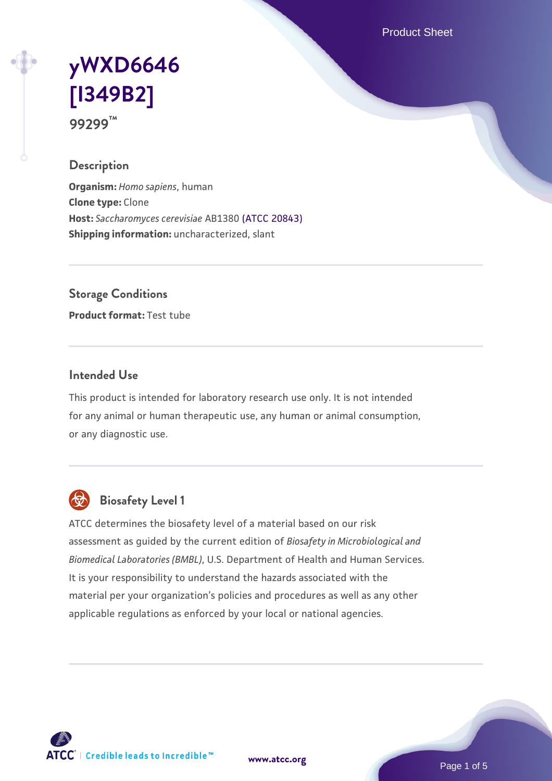Product Sheet

# **[yWXD6646](https://www.atcc.org/products/99299) [\[I349B2\]](https://www.atcc.org/products/99299) 99299™**

#### **Description**

**Organism:** *Homo sapiens*, human **Clone type:** Clone **Host:** *Saccharomyces cerevisiae* AB1380 [\(ATCC 20843\)](https://www.atcc.org/products/20843) **Shipping information:** uncharacterized, slant

**Storage Conditions**

**Product format:** Test tube

#### **Intended Use**

This product is intended for laboratory research use only. It is not intended for any animal or human therapeutic use, any human or animal consumption, or any diagnostic use.



# **Biosafety Level 1**

ATCC determines the biosafety level of a material based on our risk assessment as guided by the current edition of *Biosafety in Microbiological and Biomedical Laboratories (BMBL)*, U.S. Department of Health and Human Services. It is your responsibility to understand the hazards associated with the material per your organization's policies and procedures as well as any other applicable regulations as enforced by your local or national agencies.

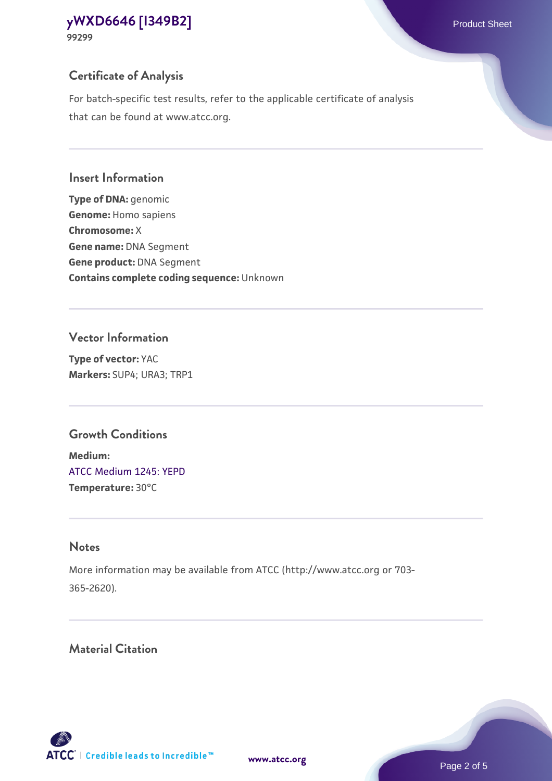**99299**

# **Certificate of Analysis**

For batch-specific test results, refer to the applicable certificate of analysis that can be found at www.atcc.org.

#### **Insert Information**

**Type of DNA:** genomic **Genome:** Homo sapiens **Chromosome:** X **Gene name:** DNA Segment **Gene product:** DNA Segment **Contains complete coding sequence:** Unknown

#### **Vector Information**

**Type of vector:** YAC **Markers:** SUP4; URA3; TRP1

## **Growth Conditions**

**Medium:**  [ATCC Medium 1245: YEPD](https://www.atcc.org/-/media/product-assets/documents/microbial-media-formulations/1/2/4/5/atcc-medium-1245.pdf?rev=705ca55d1b6f490a808a965d5c072196) **Temperature:** 30°C

# **Notes**

More information may be available from ATCC (http://www.atcc.org or 703- 365-2620).

# **Material Citation**

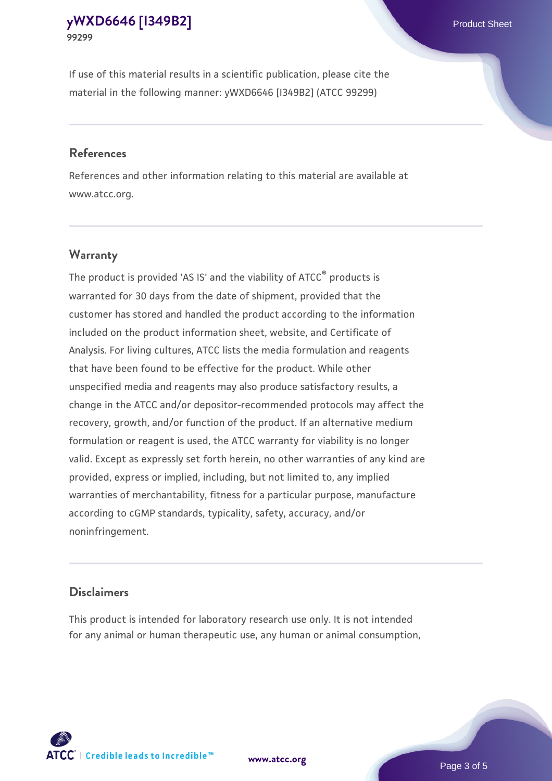If use of this material results in a scientific publication, please cite the material in the following manner: yWXD6646 [I349B2] (ATCC 99299)

#### **References**

References and other information relating to this material are available at www.atcc.org.

### **Warranty**

The product is provided 'AS IS' and the viability of  $ATCC<sup>®</sup>$  products is warranted for 30 days from the date of shipment, provided that the customer has stored and handled the product according to the information included on the product information sheet, website, and Certificate of Analysis. For living cultures, ATCC lists the media formulation and reagents that have been found to be effective for the product. While other unspecified media and reagents may also produce satisfactory results, a change in the ATCC and/or depositor-recommended protocols may affect the recovery, growth, and/or function of the product. If an alternative medium formulation or reagent is used, the ATCC warranty for viability is no longer valid. Except as expressly set forth herein, no other warranties of any kind are provided, express or implied, including, but not limited to, any implied warranties of merchantability, fitness for a particular purpose, manufacture according to cGMP standards, typicality, safety, accuracy, and/or noninfringement.

#### **Disclaimers**

This product is intended for laboratory research use only. It is not intended for any animal or human therapeutic use, any human or animal consumption,



**[www.atcc.org](http://www.atcc.org)**

Page 3 of 5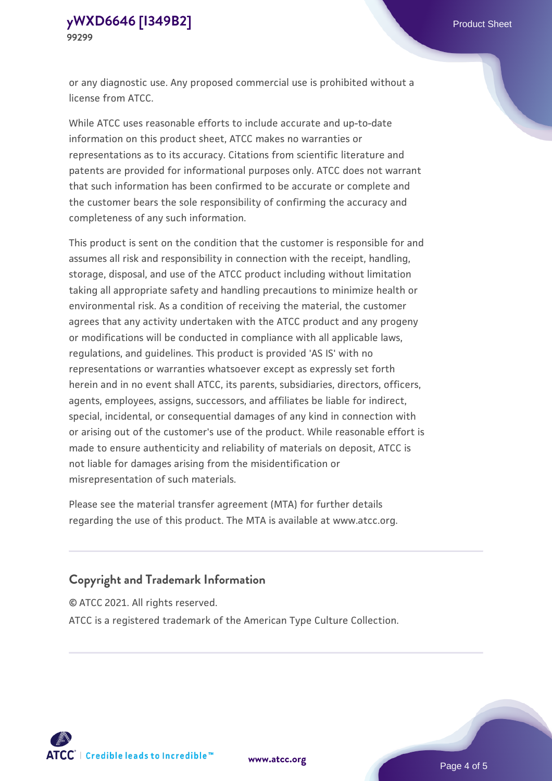or any diagnostic use. Any proposed commercial use is prohibited without a license from ATCC.

While ATCC uses reasonable efforts to include accurate and up-to-date information on this product sheet, ATCC makes no warranties or representations as to its accuracy. Citations from scientific literature and patents are provided for informational purposes only. ATCC does not warrant that such information has been confirmed to be accurate or complete and the customer bears the sole responsibility of confirming the accuracy and completeness of any such information.

This product is sent on the condition that the customer is responsible for and assumes all risk and responsibility in connection with the receipt, handling, storage, disposal, and use of the ATCC product including without limitation taking all appropriate safety and handling precautions to minimize health or environmental risk. As a condition of receiving the material, the customer agrees that any activity undertaken with the ATCC product and any progeny or modifications will be conducted in compliance with all applicable laws, regulations, and guidelines. This product is provided 'AS IS' with no representations or warranties whatsoever except as expressly set forth herein and in no event shall ATCC, its parents, subsidiaries, directors, officers, agents, employees, assigns, successors, and affiliates be liable for indirect, special, incidental, or consequential damages of any kind in connection with or arising out of the customer's use of the product. While reasonable effort is made to ensure authenticity and reliability of materials on deposit, ATCC is not liable for damages arising from the misidentification or misrepresentation of such materials.

Please see the material transfer agreement (MTA) for further details regarding the use of this product. The MTA is available at www.atcc.org.

### **Copyright and Trademark Information**

© ATCC 2021. All rights reserved.

ATCC is a registered trademark of the American Type Culture Collection.



**[www.atcc.org](http://www.atcc.org)**